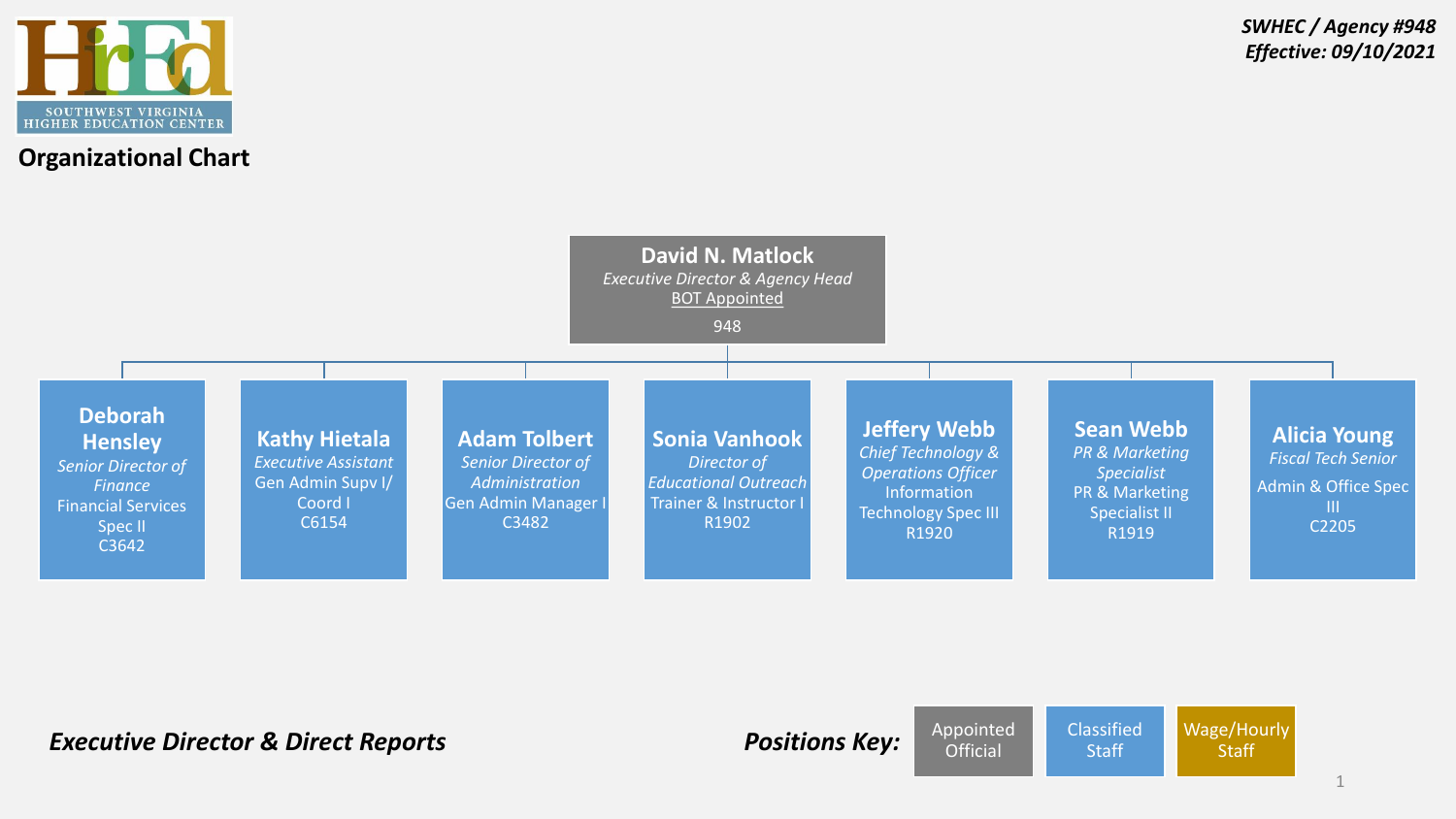



**Staff** 

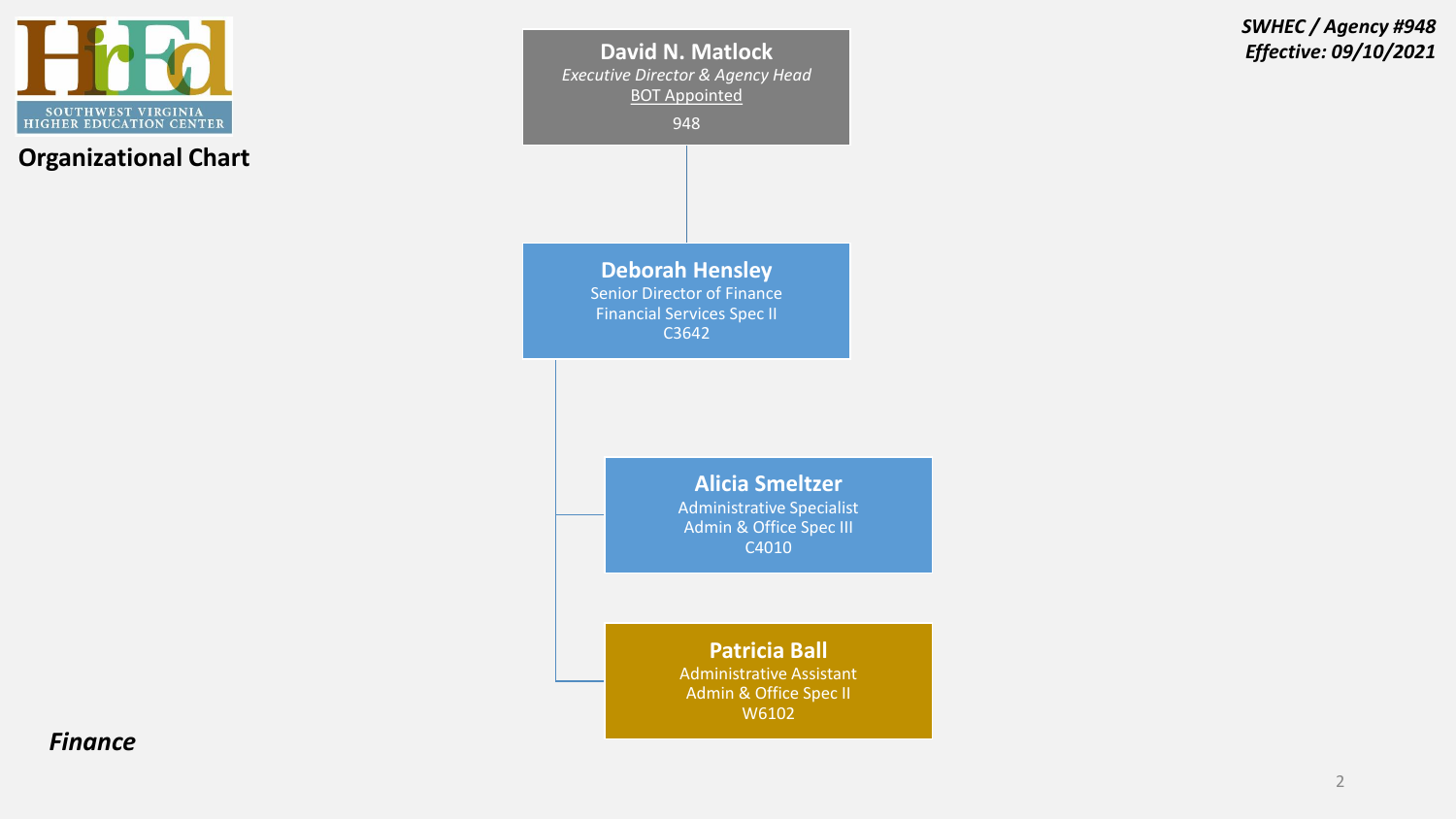

**David N. Matlock** *Effective: 09/10/2021 Executive Director & Agency Head* BOT Appointed 948 **Deborah Hensley** Senior Director of Finance Financial Services Spec II C3642 **Alicia Smeltzer** Administrative Specialist Admin & Office Spec III C4010 **Patricia Ball** Administrative Assistant Admin & Office Spec II W6102

*SWHEC / Agency #948*

*Finance*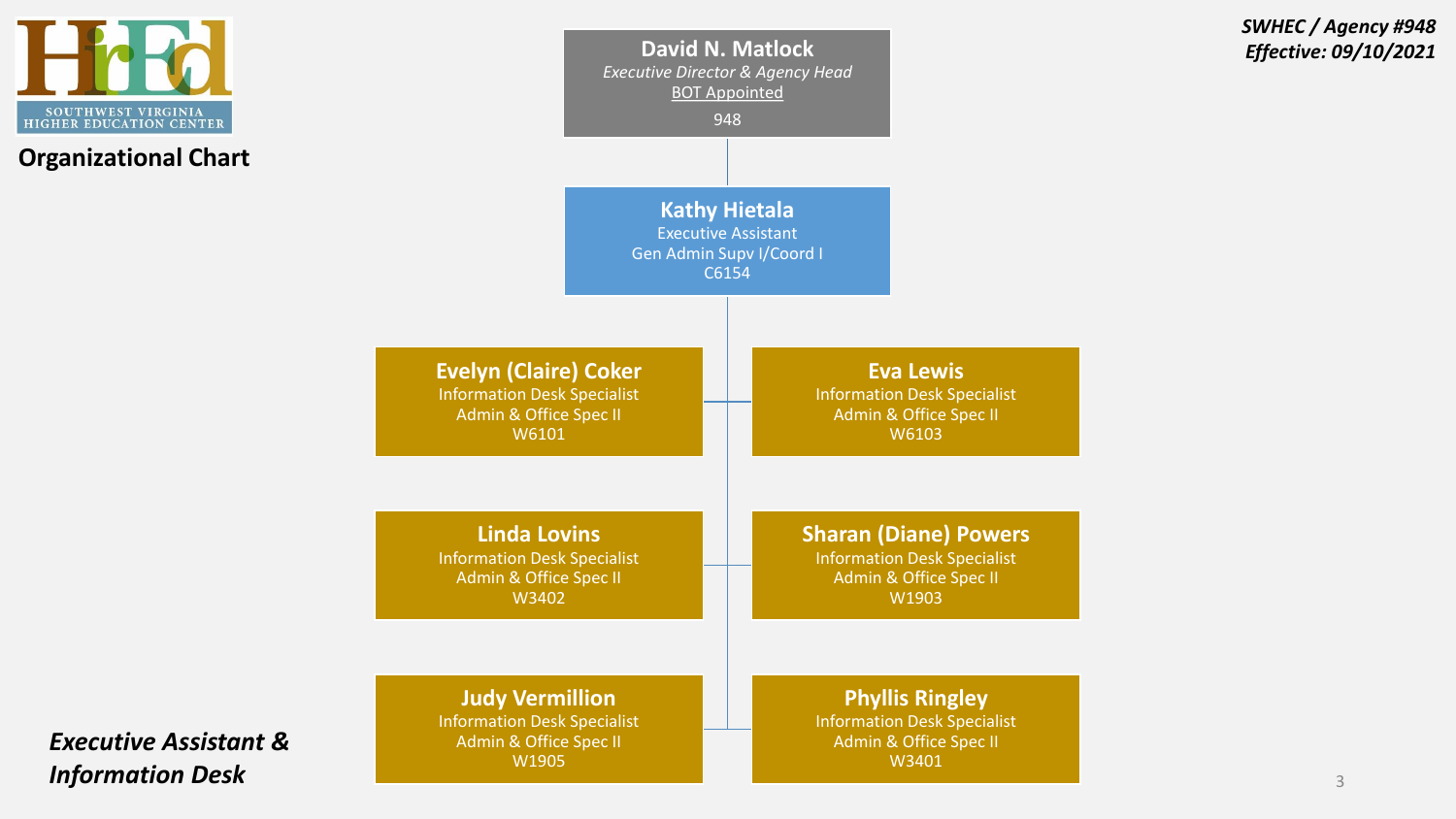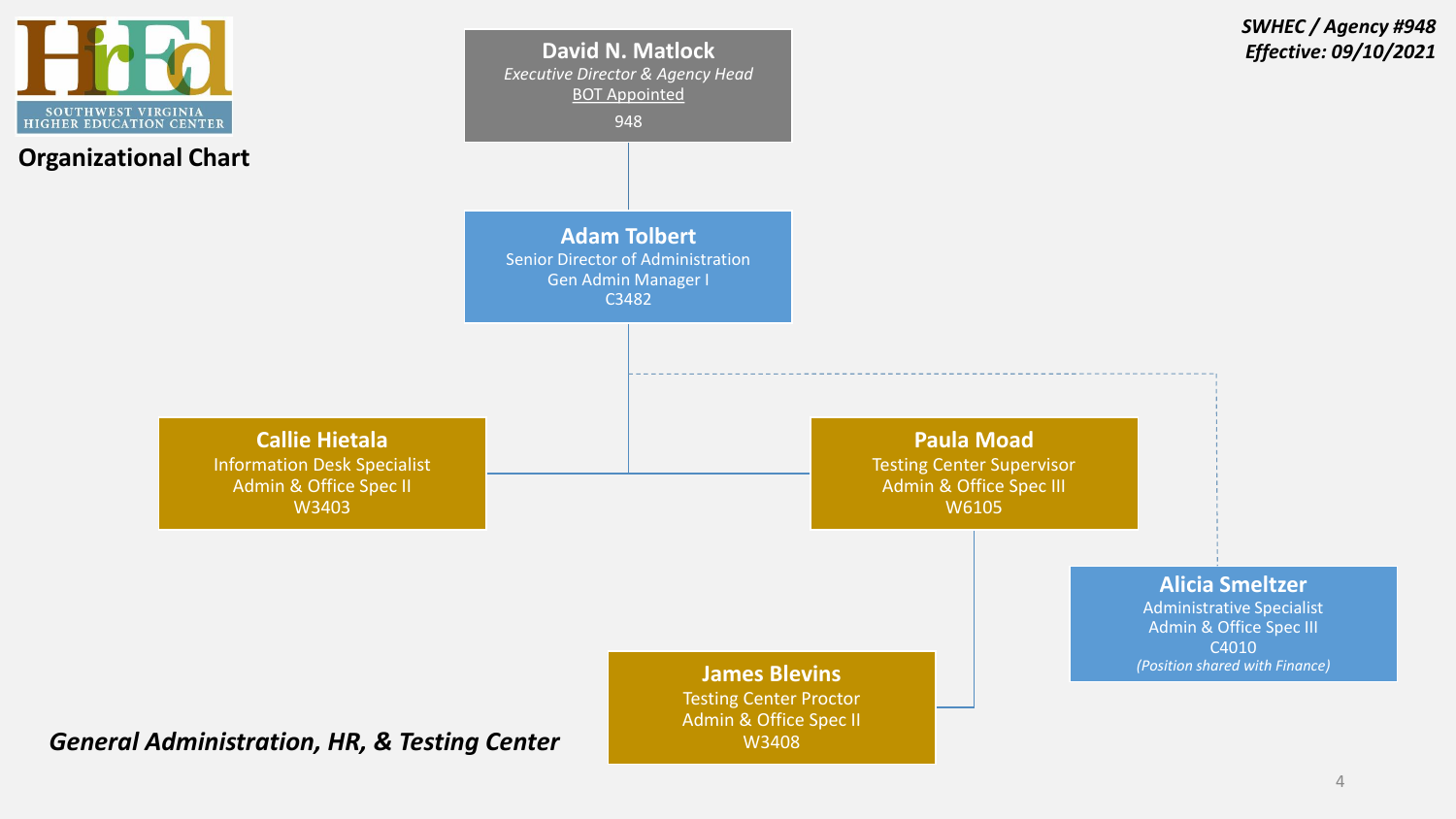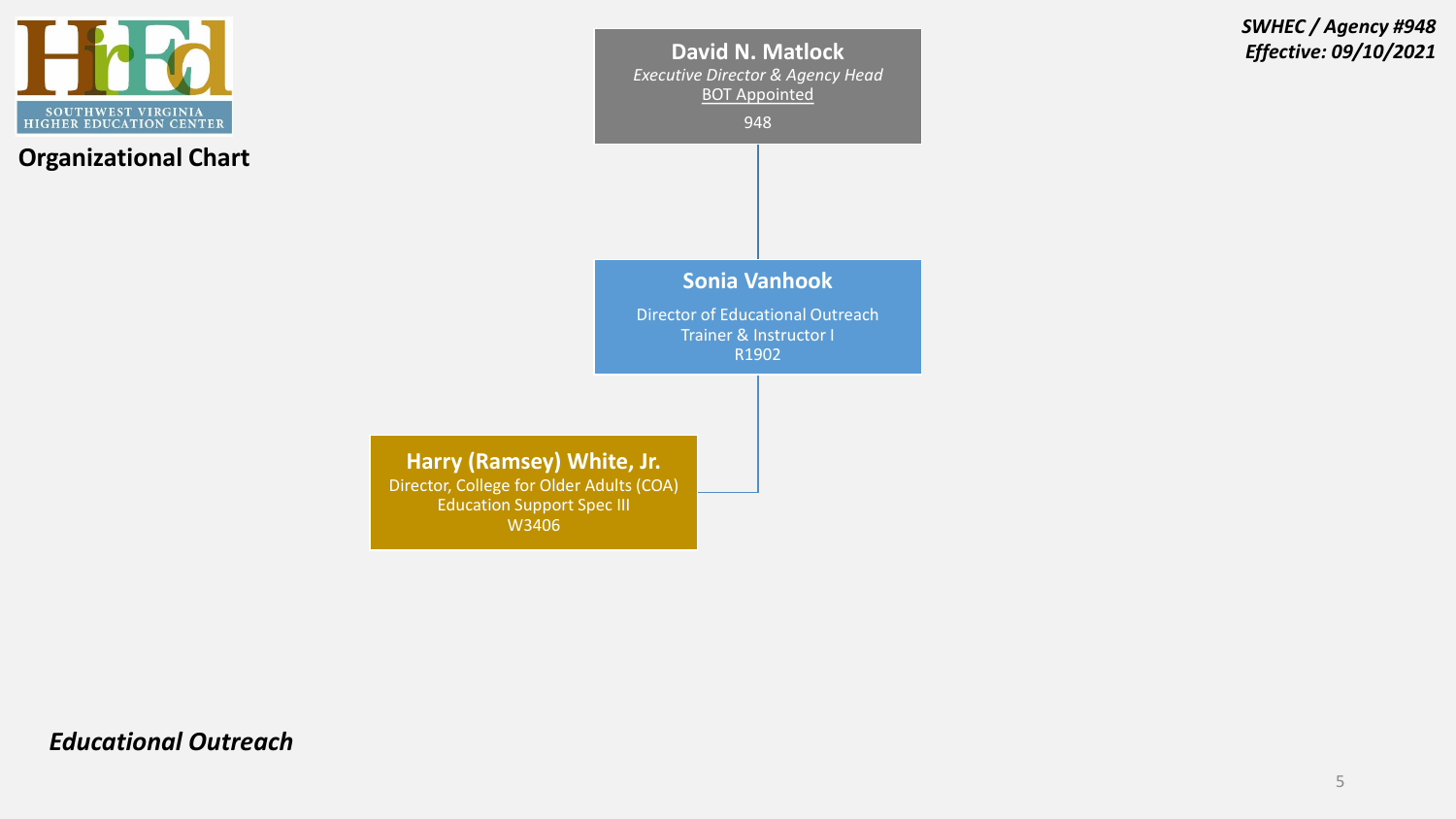

**David N. Matlock** *Effective: 09/10/2021 Executive Director & Agency Head* BOT Appointed

948

*SWHEC / Agency #948*

## **Sonia Vanhook**

Director of Educational Outreach Trainer & Instructor I R1902

**Harry (Ramsey) White, Jr.** Director, College for Older Adults (COA) Education Support Spec III W3406

*Educational Outreach*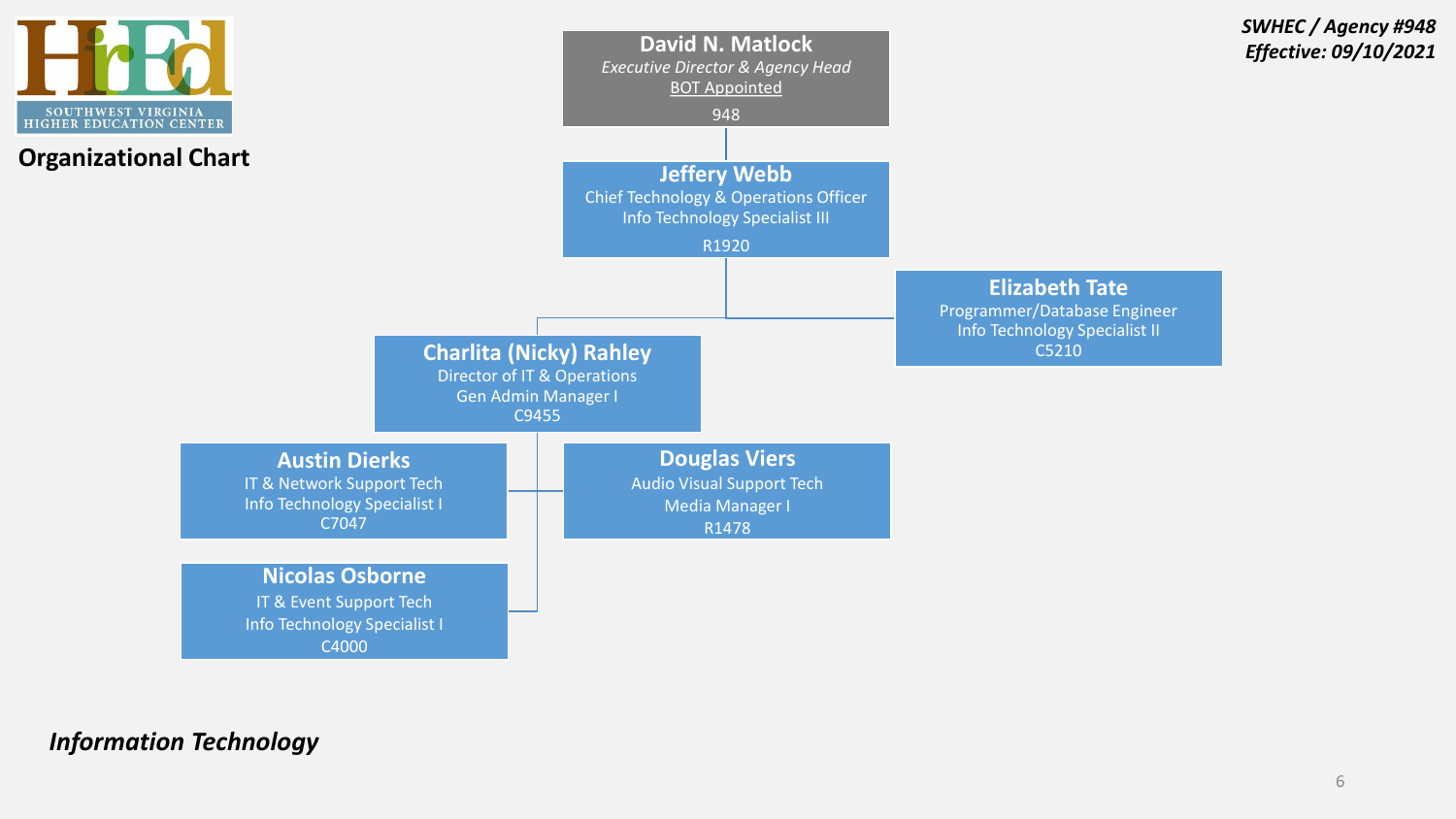

*Information Technology*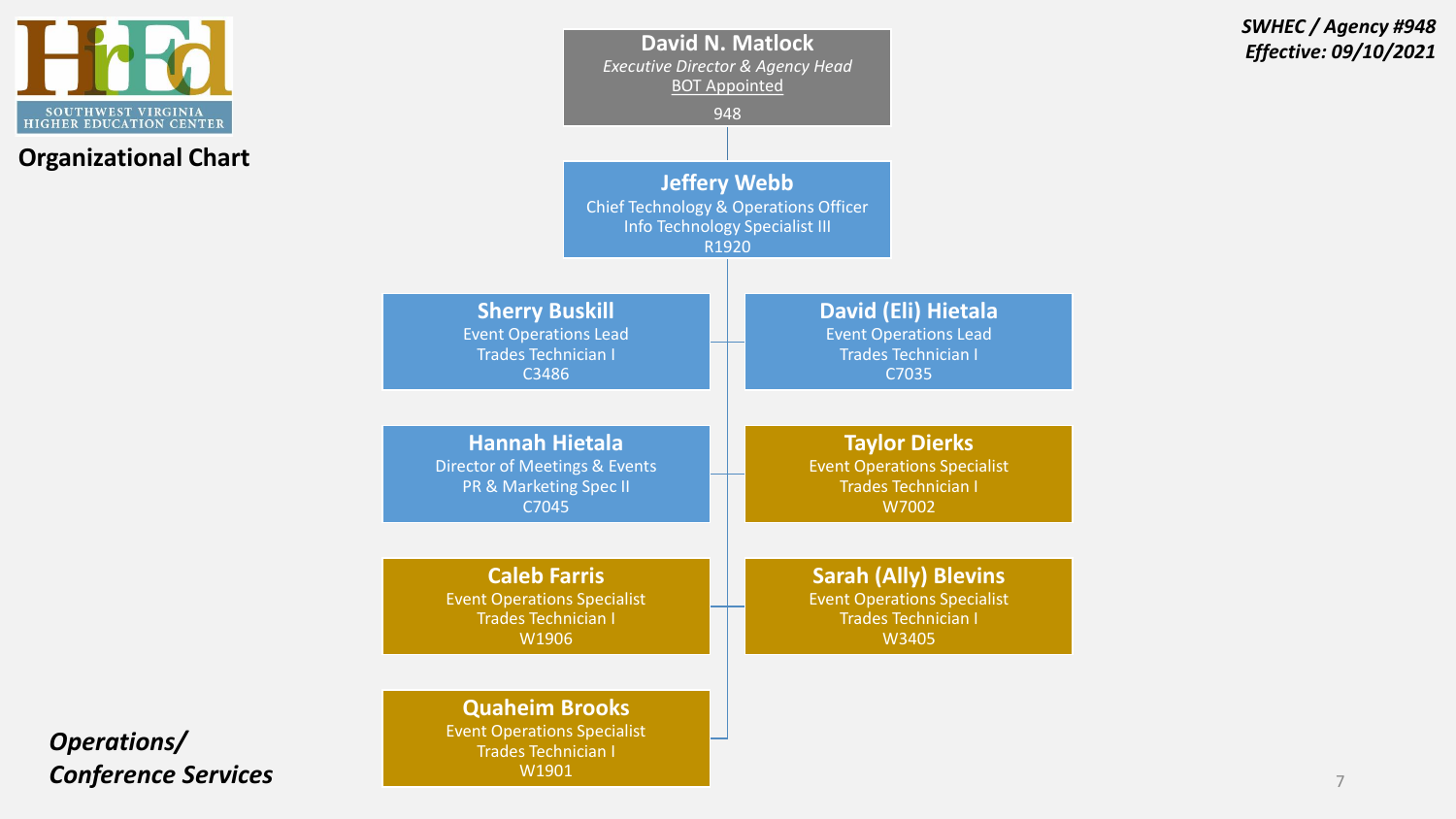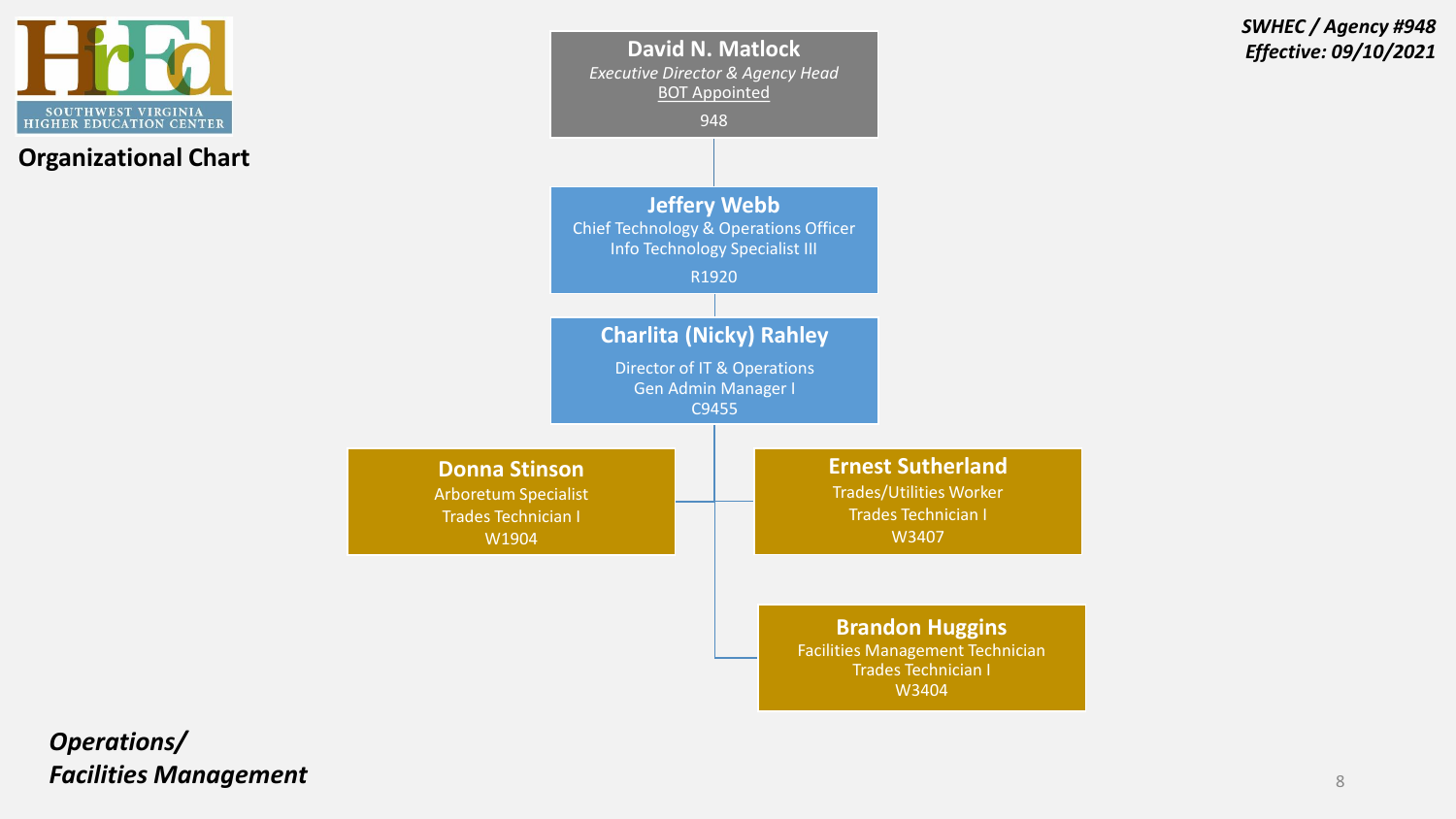



W3404

*SWHEC / Agency #948*

*Operations/ Facilities Management* <sup>8</sup>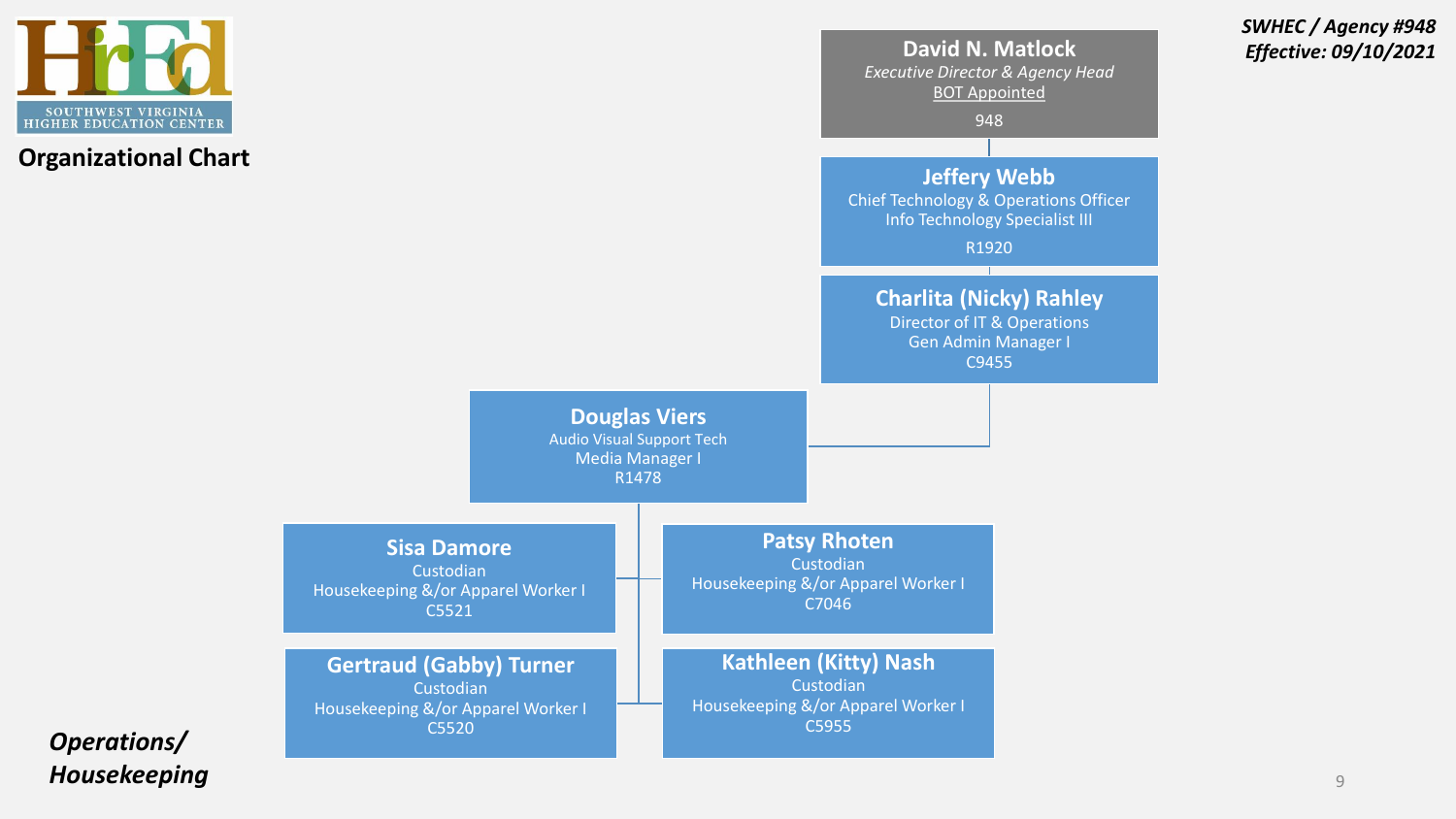



*SWHEC / Agency #948*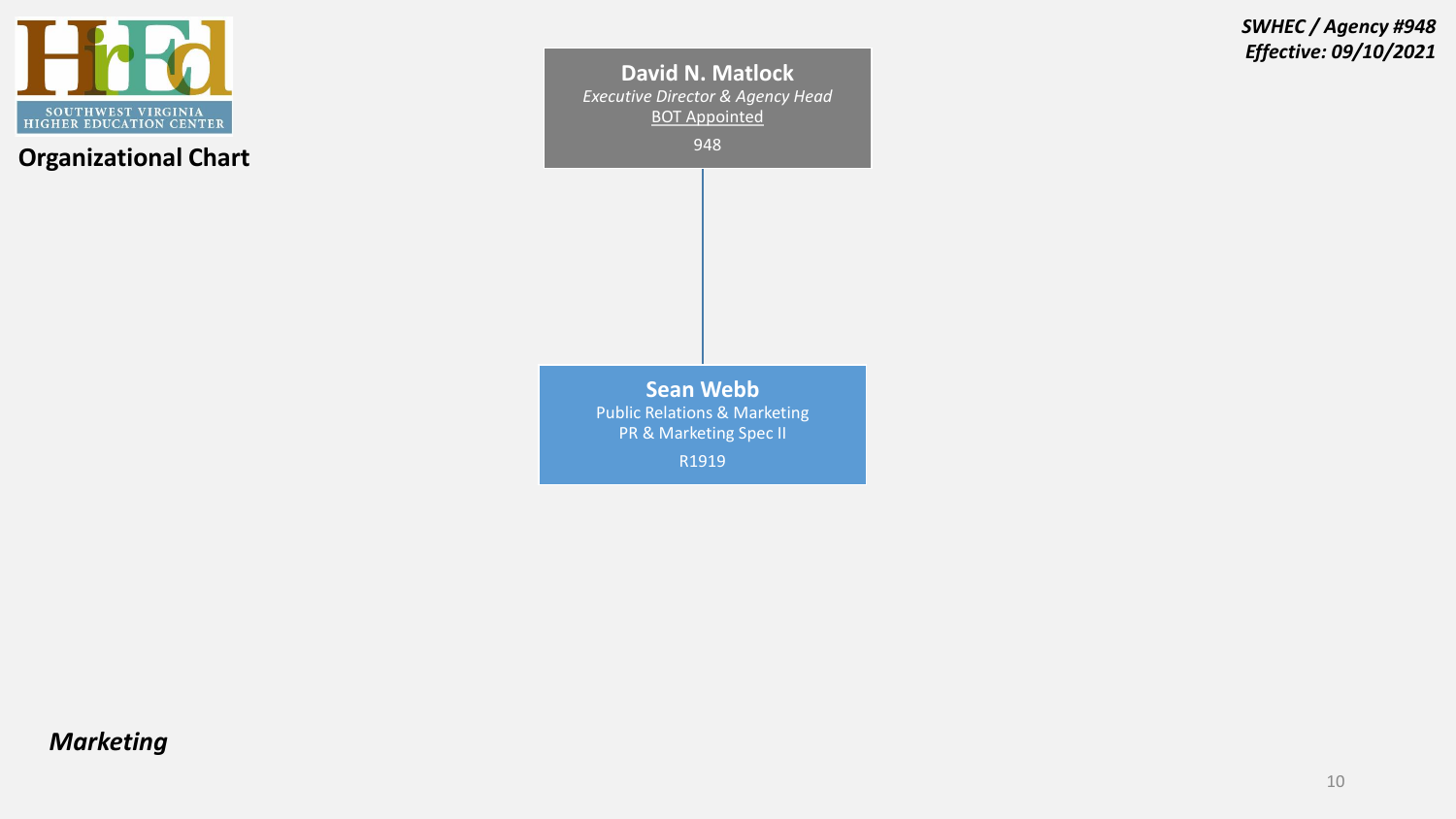

**David N. Matlock**  *Executive Director & Agency Head* BOT Appointed 948 **Sean Webb** Public Relations & Marketing PR & Marketing Spec II R1919

*SWHEC / Agency #948 Effective: 09/10/2021*

## *Marketing*